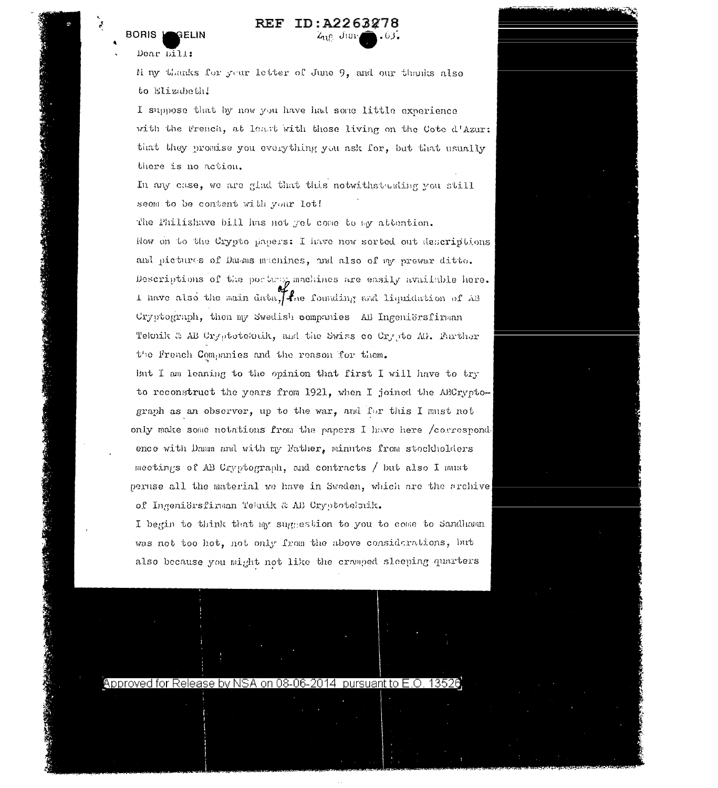## **BORIS** GELIN

## ID:A2263278 REF Z<sub>u</sub>e Jur

Dear bill:

经济通知

M ny thanks for your letter of June 9, and our thanks also to Elizabeth!

I suppose that by now you have had some little experience with the French, at least with those living on the Cote d'Azur: that they promise you everything you ask for, but that usually there is no action.

In any case, we are glad that this notwithstanding you still seem to be content with your lot!

The Philishave bill has not yet come to my attention. How on to the Crypto papers: I have now sorted out descriptions and pictures of Damms machines, and also of my prewar ditto. Descriptions of the portany machines are easily available here. I have also the main data, the founding and liquidation of AB Cryptograph, then my Swedish companies AB Ingeniörsfirman Teknik & AB Cryptoteknik, and the Swiss co Crypto AG. Further the French Companies and the reason for them.

But I am leaning to the opinion that first I will have to try to reconstruct the years from 1921, when I joined the ABCryptograph as an observer, up to the war, and for this I must not only make some notations from the papers I have here /correspondence with Damn and with my Father, minutes from stockholders meetings of AB Cryptograph, and contracts / but also I must peruse all the material we have in Sweden, which are the archive of Ingeniörsfirman Teknik & AB Cryptotelmik.

I begin to think that my suggestion to you to come to Sandham was not too hot, not only from the above considerations, but also because you might not like the cromped sleeping quarters



Approved for Release by NSA on 08-06-2014 pursuant to E.O. 135